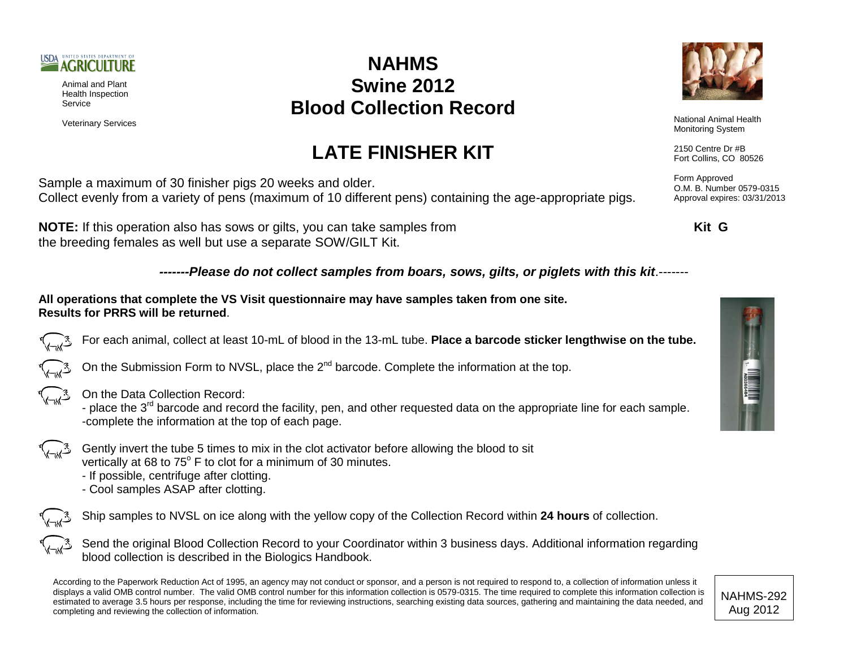

Animal and Plant Health Inspection Service

## **NAHMS Swine 2012 Blood Collection Record**

**LATE FINISHER KIT**



Veterinary Services **National Animal Health**<br>
National Animal Health<br>
Maritagian Curtan Monitoring System

> 2150 Centre Dr #B Fort Collins, CO 80526

Form Approved O.M. B. Number 0579-0315 Approval expires: 03/31/2013

Sample a maximum of 30 finisher pigs 20 weeks and older. Collect evenly from a variety of pens (maximum of 10 different pens) containing the age-appropriate pigs.

**NOTE:** If this operation also has sows or gilts, you can take samples from **Kit G** the breeding females as well but use a separate SOW/GILT Kit.

*-------Please do not collect samples from boars, sows, gilts, or piglets with this kit*.-------

**All operations that complete the VS Visit questionnaire may have samples taken from one site. Results for PRRS will be returned**.

For each animal, collect at least 10-mL of blood in the 13-mL tube. **Place a barcode sticker lengthwise on the tube.**

On the Submission Form to NVSL, place the  $2^{nd}$  barcode. Complete the information at the top.



On the Data Collection Record:

- place the 3<sup>rd</sup> barcode and record the facility, pen, and other requested data on the appropriate line for each sample. -complete the information at the top of each page.

- Gently invert the tube 5 times to mix in the clot activator before allowing the blood to sit vertically at 68 to  $75^{\circ}$  F to clot for a minimum of 30 minutes.
	- If possible, centrifuge after clotting.
	- Cool samples ASAP after clotting.

Ship samples to NVSL on ice along with the yellow copy of the Collection Record within **24 hours** of collection.

Send the original Blood Collection Record to your Coordinator within 3 business days. Additional information regarding blood collection is described in the Biologics Handbook.

According to the Paperwork Reduction Act of 1995, an agency may not conduct or sponsor, and a person is not required to respond to, a collection of information unless it displays a valid OMB control number. The valid OMB control number for this information collection is 0579-0315. The time required to complete this information collection is estimated to average 3.5 hours per response, including the time for reviewing instructions, searching existing data sources, gathering and maintaining the data needed, and completing and reviewing the collection of information.

NAHMS-292 Aug 2012

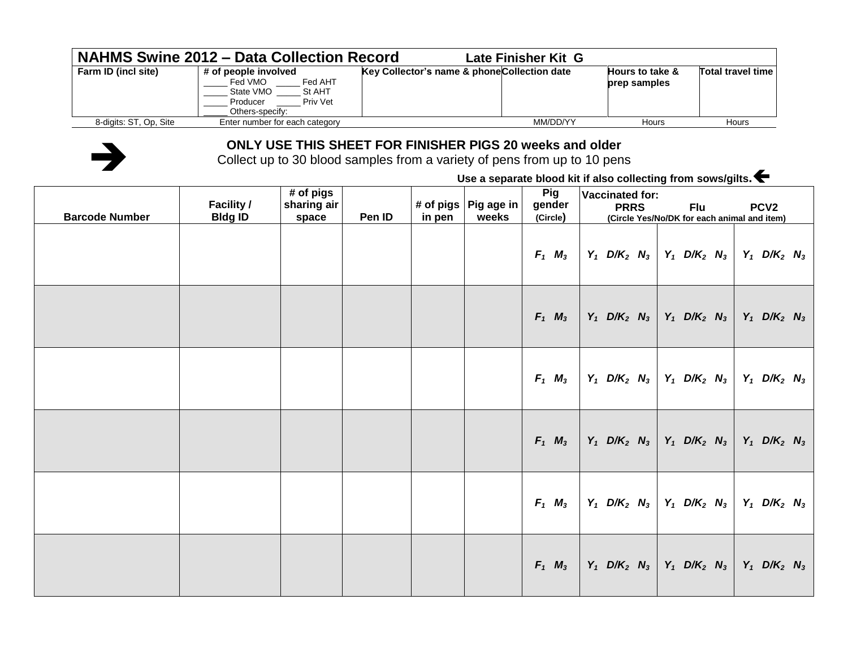|                        | <b>NAHMS Swine 2012 - Data Collection Record</b>                                                             | Late Finisher Kit G                          |                                            |                   |
|------------------------|--------------------------------------------------------------------------------------------------------------|----------------------------------------------|--------------------------------------------|-------------------|
| Farm ID (incl site)    | # of people involved<br>Fed AHT<br>Fed VMO<br>State VMO<br>St AHT<br>Priv Vet<br>Producer<br>Others-specify: | Key Collector's name & phone Collection date | <b>Hours to take &amp;</b><br>prep samples | Total travel time |
| 8-digits: ST, Op, Site | Enter number for each category                                                                               | MM/DD/YY                                     | Hours                                      | <b>Hours</b>      |



## **ONLY USE THIS SHEET FOR FINISHER PIGS 20 weeks and older**

Collect up to 30 blood samples from a variety of pens from up to 10 pens

**Use a separate blood kit if also collecting from sows/gilts.**

| <b>Barcode Number</b> | <b>Facility /</b><br><b>Bldg ID</b> | # of pigs<br>sharing air<br>space | Pen ID | in pen | # of pigs $ $ Pig age in<br>weeks | Pig<br>gender<br>(Circle) | <b>Vaccinated for:</b><br><b>PRRS</b>                                                  | Flu<br>(Circle Yes/No/DK for each animal and item) | PCV <sub>2</sub>                      |
|-----------------------|-------------------------------------|-----------------------------------|--------|--------|-----------------------------------|---------------------------|----------------------------------------------------------------------------------------|----------------------------------------------------|---------------------------------------|
|                       |                                     |                                   |        |        |                                   | $F_1$ $M_3$               | $Y_1$ D/K <sub>2</sub> N <sub>3</sub>                                                  | $Y_1$ D/K <sub>2</sub> N <sub>3</sub>              | $Y_1$ D/K <sub>2</sub> N <sub>3</sub> |
|                       |                                     |                                   |        |        |                                   | $F_1$ $M_3$               | $Y_1$ D/K <sub>2</sub> N <sub>3</sub> Y <sub>1</sub> D/K <sub>2</sub> N <sub>3</sub>   |                                                    | $Y_1$ D/K <sub>2</sub> N <sub>3</sub> |
|                       |                                     |                                   |        |        |                                   | $F_1$ $M_3$               | $Y_1$ D/K <sub>2</sub> N <sub>3</sub> Y <sub>1</sub> D/K <sub>2</sub> N <sub>3</sub>   |                                                    | $Y_1$ D/K <sub>2</sub> N <sub>3</sub> |
|                       |                                     |                                   |        |        |                                   | $F_1$ $M_3$               | $Y_1$ D/K <sub>2</sub> N <sub>3</sub> Y <sub>1</sub> D/K <sub>2</sub> N <sub>3</sub>   |                                                    | $Y_1$ D/K <sub>2</sub> N <sub>3</sub> |
|                       |                                     |                                   |        |        |                                   | $F_1$ $M_3$               | $Y_1$ D/K <sub>2</sub> N <sub>3</sub>   Y <sub>1</sub> D/K <sub>2</sub> N <sub>3</sub> |                                                    | $Y_1$ D/K <sub>2</sub> N <sub>3</sub> |
|                       |                                     |                                   |        |        |                                   | $F_1$ $M_3$               | $Y_1$ D/K <sub>2</sub> N <sub>3</sub>   Y <sub>1</sub> D/K <sub>2</sub> N <sub>3</sub> |                                                    | $Y_1$ D/K <sub>2</sub> N <sub>3</sub> |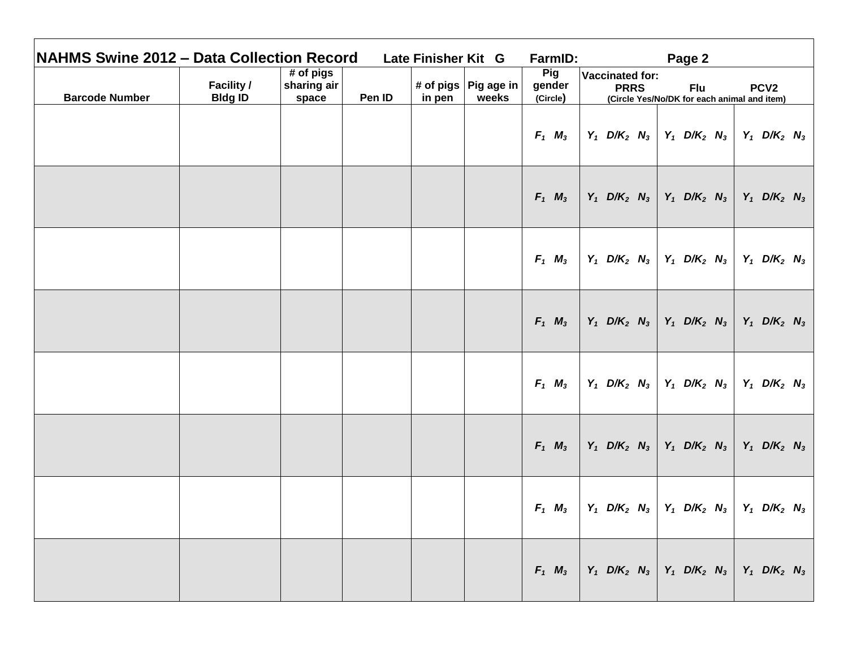| <b>NAHMS Swine 2012 - Data Collection Record</b> |                                     |                                     |        | Late Finisher Kit G |                                 | FarmID:                          |                                                                                                                                                                | Page 2                                                                                                                                  |                                       |
|--------------------------------------------------|-------------------------------------|-------------------------------------|--------|---------------------|---------------------------------|----------------------------------|----------------------------------------------------------------------------------------------------------------------------------------------------------------|-----------------------------------------------------------------------------------------------------------------------------------------|---------------------------------------|
| <b>Barcode Number</b>                            | <b>Facility /</b><br><b>Bldg ID</b> | $#$ of pigs<br>sharing air<br>space | Pen ID | in pen              | # of pigs   Pig age in<br>weeks | <b>Pig</b><br>gender<br>(Circle) | <b>Vaccinated for:</b><br><b>PRRS</b>                                                                                                                          | <b>Flu</b><br>(Circle Yes/No/DK for each animal and item)                                                                               | PCV <sub>2</sub>                      |
|                                                  |                                     |                                     |        |                     |                                 | $F_1$ $M_3$                      |                                                                                                                                                                | $Y_1$ D/K <sub>2</sub> N <sub>3</sub>   Y <sub>1</sub> D/K <sub>2</sub> N <sub>3</sub>   Y <sub>1</sub> D/K <sub>2</sub> N <sub>3</sub> |                                       |
|                                                  |                                     |                                     |        |                     |                                 | $F_1$ $M_3$                      |                                                                                                                                                                | $Y_1$ D/K <sub>2</sub> N <sub>3</sub>   Y <sub>1</sub> D/K <sub>2</sub> N <sub>3</sub>   Y <sub>1</sub> D/K <sub>2</sub> N <sub>3</sub> |                                       |
|                                                  |                                     |                                     |        |                     |                                 | $F_1$ $M_3$                      |                                                                                                                                                                | $Y_1$ D/K <sub>2</sub> N <sub>3</sub> Y <sub>1</sub> D/K <sub>2</sub> N <sub>3</sub> Y <sub>1</sub> D/K <sub>2</sub> N <sub>3</sub>     |                                       |
|                                                  |                                     |                                     |        |                     |                                 | $F_1$ $M_3$                      |                                                                                                                                                                | $Y_1$ D/K <sub>2</sub> N <sub>3</sub>   Y <sub>1</sub> D/K <sub>2</sub> N <sub>3</sub>   Y <sub>1</sub> D/K <sub>2</sub> N <sub>3</sub> |                                       |
|                                                  |                                     |                                     |        |                     |                                 | $F_1$ $M_3$                      |                                                                                                                                                                | $Y_1$ D/K <sub>2</sub> N <sub>3</sub>   Y <sub>1</sub> D/K <sub>2</sub> N <sub>3</sub>   Y <sub>1</sub> D/K <sub>2</sub> N <sub>3</sub> |                                       |
|                                                  |                                     |                                     |        |                     |                                 | $F_1$ $M_3$                      |                                                                                                                                                                | $Y_1$ D/K <sub>2</sub> N <sub>3</sub>   Y <sub>1</sub> D/K <sub>2</sub> N <sub>3</sub>                                                  | $Y_1$ D/K <sub>2</sub> N <sub>3</sub> |
|                                                  |                                     |                                     |        |                     |                                 | $F_1$ $M_3$                      |                                                                                                                                                                | $Y_1$ D/K <sub>2</sub> N <sub>3</sub>   Y <sub>1</sub> D/K <sub>2</sub> N <sub>3</sub>                                                  | $Y_1$ D/K <sub>2</sub> N <sub>3</sub> |
|                                                  |                                     |                                     |        |                     |                                 |                                  | $F_1$ $M_3$   Y <sub>1</sub> D/K <sub>2</sub> N <sub>3</sub>   Y <sub>1</sub> D/K <sub>2</sub> N <sub>3</sub>   Y <sub>1</sub> D/K <sub>2</sub> N <sub>3</sub> |                                                                                                                                         |                                       |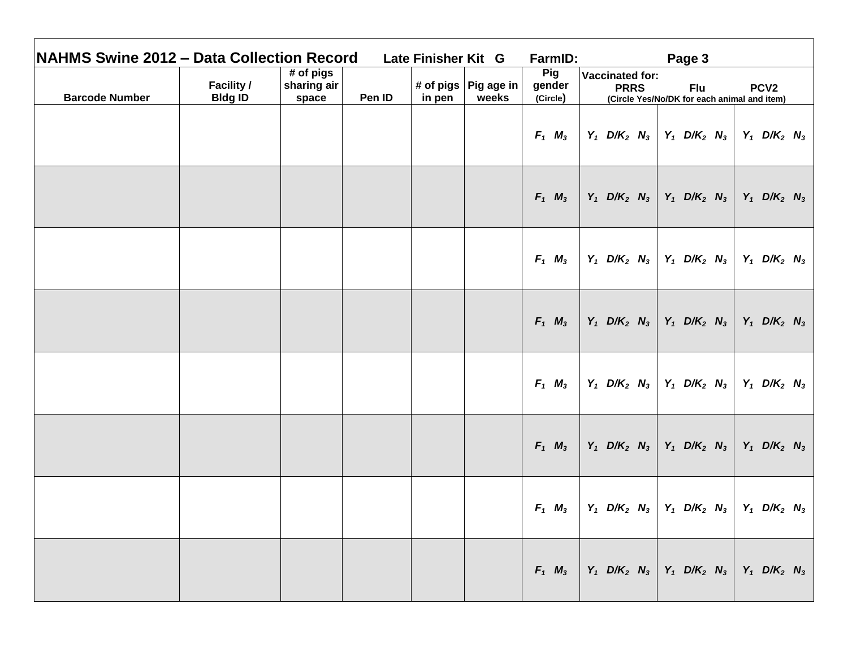| <b>NAHMS Swine 2012 - Data Collection Record</b> |                                     |                                     |        | Late Finisher Kit G |                                 | FarmID:                          |                                                                                                                                                                | Page 3                                                                                                                                  |                                       |
|--------------------------------------------------|-------------------------------------|-------------------------------------|--------|---------------------|---------------------------------|----------------------------------|----------------------------------------------------------------------------------------------------------------------------------------------------------------|-----------------------------------------------------------------------------------------------------------------------------------------|---------------------------------------|
| <b>Barcode Number</b>                            | <b>Facility /</b><br><b>Bldg ID</b> | $#$ of pigs<br>sharing air<br>space | Pen ID | in pen              | # of pigs   Pig age in<br>weeks | <b>Pig</b><br>gender<br>(Circle) | <b>Vaccinated for:</b><br><b>PRRS</b>                                                                                                                          | <b>Flu</b><br>(Circle Yes/No/DK for each animal and item)                                                                               | PCV <sub>2</sub>                      |
|                                                  |                                     |                                     |        |                     |                                 | $F_1$ $M_3$                      |                                                                                                                                                                | $Y_1$ D/K <sub>2</sub> N <sub>3</sub>   Y <sub>1</sub> D/K <sub>2</sub> N <sub>3</sub>   Y <sub>1</sub> D/K <sub>2</sub> N <sub>3</sub> |                                       |
|                                                  |                                     |                                     |        |                     |                                 | $F_1$ $M_3$                      |                                                                                                                                                                | $Y_1$ D/K <sub>2</sub> N <sub>3</sub>   Y <sub>1</sub> D/K <sub>2</sub> N <sub>3</sub>   Y <sub>1</sub> D/K <sub>2</sub> N <sub>3</sub> |                                       |
|                                                  |                                     |                                     |        |                     |                                 | $F_1$ $M_3$                      |                                                                                                                                                                | $Y_1$ D/K <sub>2</sub> N <sub>3</sub> Y <sub>1</sub> D/K <sub>2</sub> N <sub>3</sub> Y <sub>1</sub> D/K <sub>2</sub> N <sub>3</sub>     |                                       |
|                                                  |                                     |                                     |        |                     |                                 | $F_1$ $M_3$                      |                                                                                                                                                                | $Y_1$ D/K <sub>2</sub> N <sub>3</sub>   Y <sub>1</sub> D/K <sub>2</sub> N <sub>3</sub>   Y <sub>1</sub> D/K <sub>2</sub> N <sub>3</sub> |                                       |
|                                                  |                                     |                                     |        |                     |                                 | $F_1$ $M_3$                      |                                                                                                                                                                | $Y_1$ D/K <sub>2</sub> N <sub>3</sub>   Y <sub>1</sub> D/K <sub>2</sub> N <sub>3</sub>   Y <sub>1</sub> D/K <sub>2</sub> N <sub>3</sub> |                                       |
|                                                  |                                     |                                     |        |                     |                                 | $F_1$ $M_3$                      |                                                                                                                                                                | $Y_1$ D/K <sub>2</sub> N <sub>3</sub>   Y <sub>1</sub> D/K <sub>2</sub> N <sub>3</sub>                                                  | $Y_1$ D/K <sub>2</sub> N <sub>3</sub> |
|                                                  |                                     |                                     |        |                     |                                 | $F_1$ $M_3$                      |                                                                                                                                                                | $Y_1$ D/K <sub>2</sub> N <sub>3</sub>   Y <sub>1</sub> D/K <sub>2</sub> N <sub>3</sub>                                                  | $Y_1$ D/K <sub>2</sub> N <sub>3</sub> |
|                                                  |                                     |                                     |        |                     |                                 |                                  | $F_1$ $M_3$   Y <sub>1</sub> D/K <sub>2</sub> N <sub>3</sub>   Y <sub>1</sub> D/K <sub>2</sub> N <sub>3</sub>   Y <sub>1</sub> D/K <sub>2</sub> N <sub>3</sub> |                                                                                                                                         |                                       |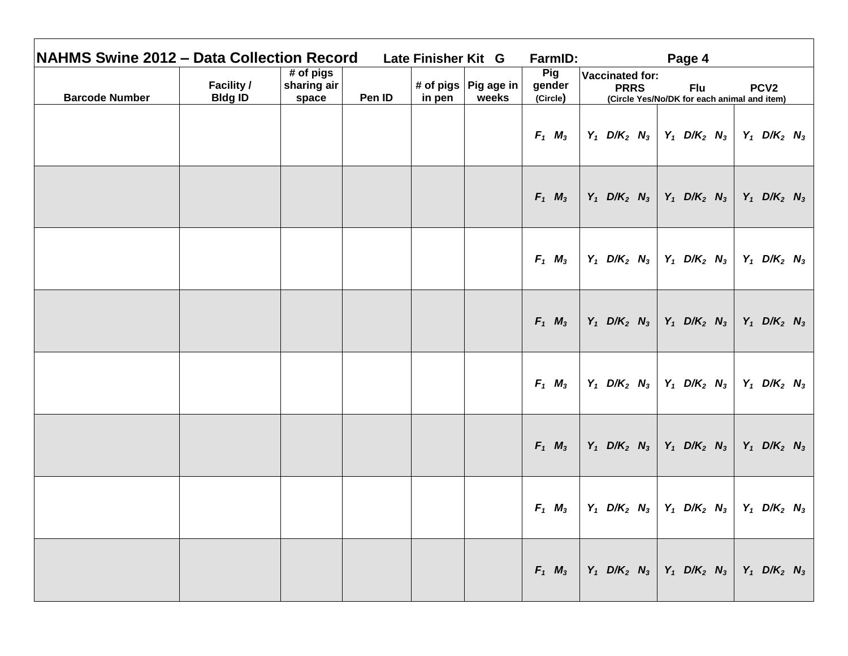| <b>NAHMS Swine 2012 - Data Collection Record</b> |                                     |                                     |        | Late Finisher Kit G |                                 | FarmID:                          |                                                         | Page 4                                                                                                                                  |                                       |
|--------------------------------------------------|-------------------------------------|-------------------------------------|--------|---------------------|---------------------------------|----------------------------------|---------------------------------------------------------|-----------------------------------------------------------------------------------------------------------------------------------------|---------------------------------------|
| <b>Barcode Number</b>                            | <b>Facility /</b><br><b>Bldg ID</b> | $#$ of pigs<br>sharing air<br>space | Pen ID | in pen              | # of pigs   Pig age in<br>weeks | <b>Pig</b><br>gender<br>(Circle) | <b>Vaccinated for:</b><br><b>PRRS</b>                   | <b>Flu</b><br>(Circle Yes/No/DK for each animal and item)                                                                               | PCV <sub>2</sub>                      |
|                                                  |                                     |                                     |        |                     |                                 | $F_1$ $M_3$                      |                                                         | $Y_1$ D/K <sub>2</sub> N <sub>3</sub>   Y <sub>1</sub> D/K <sub>2</sub> N <sub>3</sub>   Y <sub>1</sub> D/K <sub>2</sub> N <sub>3</sub> |                                       |
|                                                  |                                     |                                     |        |                     |                                 | $F_1$ $M_3$                      |                                                         | $Y_1$ D/K <sub>2</sub> N <sub>3</sub>   Y <sub>1</sub> D/K <sub>2</sub> N <sub>3</sub>                                                  | $Y_1$ D/K <sub>2</sub> N <sub>3</sub> |
|                                                  |                                     |                                     |        |                     |                                 | $F_1$ $M_3$                      |                                                         | $Y_1$ D/K <sub>2</sub> N <sub>3</sub>   Y <sub>1</sub> D/K <sub>2</sub> N <sub>3</sub>   Y <sub>1</sub> D/K <sub>2</sub> N <sub>3</sub> |                                       |
|                                                  |                                     |                                     |        |                     |                                 | $F_1$ $M_3$                      |                                                         | $Y_1$ D/K <sub>2</sub> N <sub>3</sub>   Y <sub>1</sub> D/K <sub>2</sub> N <sub>3</sub>   Y <sub>1</sub> D/K <sub>2</sub> N <sub>3</sub> |                                       |
|                                                  |                                     |                                     |        |                     |                                 | $F_1$ $M_3$                      |                                                         | $Y_1$ D/K <sub>2</sub> N <sub>3</sub>   Y <sub>1</sub> D/K <sub>2</sub> N <sub>3</sub>   Y <sub>1</sub> D/K <sub>2</sub> N <sub>3</sub> |                                       |
|                                                  |                                     |                                     |        |                     |                                 | $F_1$ $M_3$                      |                                                         | $Y_1$ D/K <sub>2</sub> N <sub>3</sub>   Y <sub>1</sub> D/K <sub>2</sub> N <sub>3</sub>                                                  | $Y_1$ D/K <sub>2</sub> N <sub>3</sub> |
|                                                  |                                     |                                     |        |                     |                                 | $F_1$ $M_3$                      |                                                         | $Y_1$ D/K <sub>2</sub> N <sub>3</sub>   Y <sub>1</sub> D/K <sub>2</sub> N <sub>3</sub>                                                  | $Y_1$ D/K <sub>2</sub> N <sub>3</sub> |
|                                                  |                                     |                                     |        |                     |                                 | $F_1$ $M_3$                      | $  Y_1, D/K_2, N_3   Y_1, D/K_2, N_3   Y_1, D/K_2, N_3$ |                                                                                                                                         |                                       |